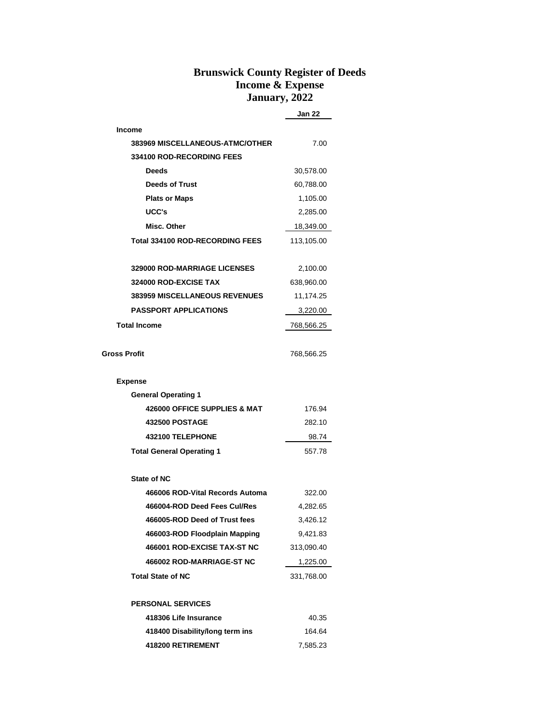## **Brunswick County Register of Deeds Income & Expense January, 2022**

|                                        | Jan 22     |
|----------------------------------------|------------|
| <b>Income</b>                          |            |
| 383969 MISCELLANEOUS-ATMC/OTHER        | 7.00       |
| <b>334100 ROD-RECORDING FEES</b>       |            |
| <b>Deeds</b>                           | 30,578.00  |
| <b>Deeds of Trust</b>                  | 60,788.00  |
| <b>Plats or Maps</b>                   | 1,105.00   |
| UCC's                                  | 2,285.00   |
| Misc. Other                            | 18,349.00  |
| <b>Total 334100 ROD-RECORDING FEES</b> | 113,105.00 |
| <b>329000 ROD-MARRIAGE LICENSES</b>    | 2,100.00   |
| 324000 ROD-EXCISE TAX                  | 638,960.00 |
| <b>383959 MISCELLANEOUS REVENUES</b>   | 11,174.25  |
| <b>PASSPORT APPLICATIONS</b>           | 3,220.00   |
| <b>Total Income</b>                    | 768,566.25 |
| Gross Profit                           | 768,566.25 |
| <b>Expense</b>                         |            |
| <b>General Operating 1</b>             |            |
| 426000 OFFICE SUPPLIES & MAT           | 176.94     |
| <b>432500 POSTAGE</b>                  | 282.10     |
| 432100 TELEPHONE                       | 98.74      |
| <b>Total General Operating 1</b>       | 557.78     |
| <b>State of NC</b>                     |            |
| 466006 ROD-Vital Records Automa        | 322.00     |
| 466004-ROD Deed Fees Cul/Res           | 4,282.65   |
| 466005-ROD Deed of Trust fees          | 3,426.12   |
| 466003-ROD Floodplain Mapping          | 9,421.83   |
| 466001 ROD-EXCISE TAX-ST NC            | 313,090.40 |
| 466002 ROD-MARRIAGE-ST NC              | 1,225.00   |
| <b>Total State of NC</b>               | 331,768.00 |
| <b>PERSONAL SERVICES</b>               |            |
| 418306 Life Insurance                  | 40.35      |
| 418400 Disability/long term ins        | 164.64     |
| 418200 RETIREMENT                      | 7,585.23   |
|                                        |            |